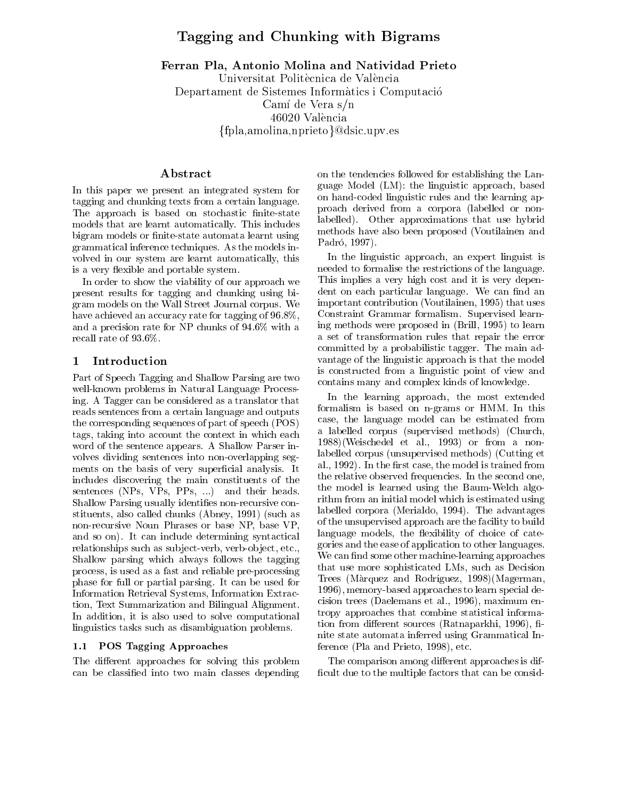# Tagging and Chunking with Big and Big and Big

Ferran Pla, Antonio Molina and Natividad Prieto Universitat Politècnica de València

Departament de Sistemes Informatics i Computacio Camí de Vera s/n 46020 Valencia  $\{\text{fpla}, \text{amolina}, \text{nprice} \} \textcircled{0}$ dsic.upv.es

# Abstract

In this paper we present an integrated system for tagging and chunking texts from a certain language. The approach is based on stochastic finite-state models that are learnt automatically. This includes bigram models or finite-state automata learnt using grammatical inference techniques. As the models in volved in our system are learnt automatically, this is a very flexible and portable system.

In order to show the viability of our approach we present results for tagging and chunking using bigram models on the Wall Street Journal corpus. We have achieved an accuracy rate for tagging of 96.8%, and a precision rate for NP chunks of 94.6% with a recall rate of 93.6%.

#### 1 Introduction

Part of Speech Tagging and Shallow Parsing are two well-known problems in Natural Language Processing. A Tagger can be considered as a translator that reads sentences from a certain language and outputs the corresponding sequences of part of speech (POS) tags, taking into account the context in which each word of the sentence appears. A Shallow Parser in volves dividing sentences into non-overlapping segments on the basis of very superficial analysis. It includes discovering the main constituents of the sentences (NPs, VPs, PPs, ...) and their heads. Shallow Parsing usually identifies non-recursive constituents, also called chunks (Abney, 1991) (such as non-recursive Noun Phrases or base NP, base VP, and so on). It can include determining syntactical relationships such as subject-verb, verb-object, etc., Shallow parsing which always follows the tagging process, is used as a fast and reliable pre-processing phase for full or partial parsing. It can be used for Information Retrieval Systems, Information Extraction, Text Summarization and Bilingual Alignment. In addition, it is also used to solve computational linguistics tasks such as disambiguation problems.

#### 1.1 POS Tagging Approaches

The different approaches for solving this problem can be classied into two main classes depending on the tendencies followed for establishing the Language Model (LM): the linguistic approach, based on hand-coded linguistic rules and the learning approach derived from a corpora (labelled or nonlabelled). Other approximations that use hybrid methods have also been proposed (Voutilainen and Padró, 1997).

In the linguistic approach, an expert linguist is needed to formalise the restrictions of the language. This implies a very high cost and it is very dependent on each particular language. We can find an important contribution (Voutilainen, 1995) that uses Constraint Grammar formalism. Supervised learning methods were proposed in (Brill, 1995) to learn a set of transformation rules that repair the error committed by a probabilistic tagger. The main ad vantage of the linguistic approach is that the model is constructed from a linguistic point of view and contains many and complex kinds of knowledge.

In the learning approach, the most extended formalism is based on n-grams or HMM. In this case, the language model can be estimated from a labelled corpus (supervised methods) (Church, 1988)(Weischedel et al., 1993) or from a nonlabelled corpus (unsupervised methods) (Cutting et al., 1992). In the first case, the model is trained from the relative observed frequencies. In the second one, the model is learned using the Baum-Welch algorithm from an initial model which is estimated using labelled corpora (Merialdo, 1994). The advantages of the unsupervised approach are the facility to build language models, the flexibility of choice of categories and the ease of application to other languages. We can find some other machine-learning approaches that use more sophisticated LMs, such as Decision Trees (Màrquez and Rodríguez, 1998) (Magerman, 1996), memory-based approaches to learn special decision trees (Daelemans et al., 1996), maximum entropy approaches that combine statistical information from different sources (Ratnaparkhi, 1996), finite state automata inferred using Grammatical Inference (Pla and Prieto, 1998), etc.

The comparison among different approaches is difficult due to the multiple factors that can be consid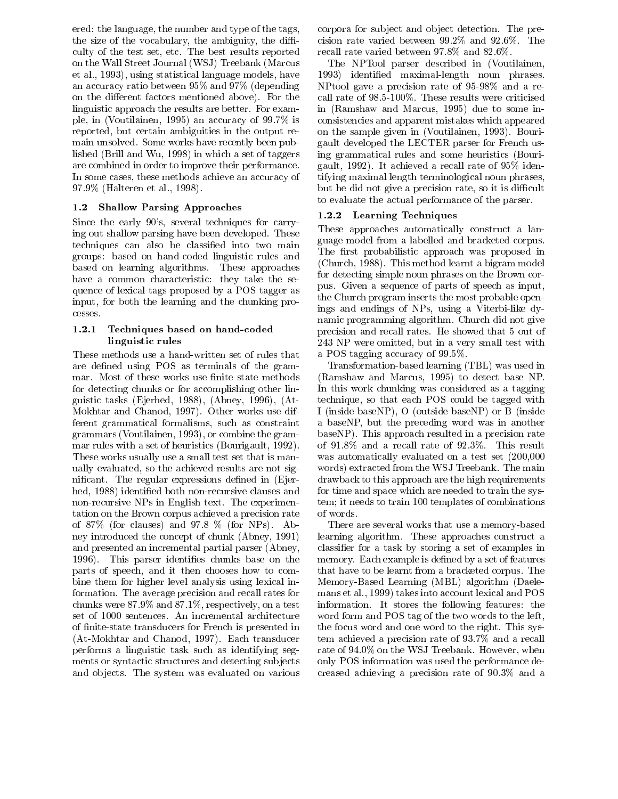ered: the language, the number and type of the tags, the size of the vocabulary, the ambiguity, the difficulty of the test set, etc. The best results reported on the Wall Street Journal (WSJ) Treebank (Marcus et al., 1993), using statistical language models, have an accuracy ratio between 95% and 97% (depending on the different factors mentioned above). For the linguistic approach the results are better. For example, in (Voutilainen, 1995) an accuracy of 99.7% is reported, but certain ambiguities in the output remain unsolved. Some works have recently been published (Brill and Wu, 1998) in which a set of taggers are combined in order to improve their performance. In some cases, these methods achieve an accuracy of 97.9% (Halteren et al., 1998).

# 1.2 Shallow Parsing Approaches

Since the early 90's, several techniques for carrying out shallow parsing have been developed. These techniques can also be classied into two main groups: based on hand-coded linguistic rules and based on learning algorithms. These approaches have a common characteristic: they take the sequence of lexical tags proposed by a POS tagger as input, for both the learning and the chunking processes.

# 1.2.1 Techniques based on hand-coded linguistic rules

These methods use a hand-written set of rules that are defined using POS as terminals of the grammar. Most of these works use finite state methods for detecting chunks or for accomplishing other linguistic tasks (Ejerhed, 1988), (Abney, 1996), (At-Mokhtar and Chanod, 1997). Other works use different grammatical formalisms, such as constraint grammars (Voutilainen, 1993), or combine the grammar rules with a set of heuristics (Bourigault, 1992). These works usually use a small test set that is manually evaluated, so the achieved results are not significant. The regular expressions defined in (Ejerhed, 1988) identified both non-recursive clauses and non-recursive NPs in English text. The experimentation on the Brown corpus achieved a precision rate of 87% (for clauses) and 97.8 % (for NPs). Abney introduced the concept of chunk (Abney, 1991) and presented an incremental partial parser (Abney, 1996). This parser identifies chunks base on the parts of speech, and it then chooses how to combine them for higher level analysis using lexical information. The average precision and recall rates for chunks were 87.9% and 87.1%, respectively, on a test set of 1000 sentences. An incremental architecture of nite-state transducers for French is presented in (At-Mokhtar and Chanod, 1997). Each transducer performs a linguistic task such as identifying segments or syntactic structures and detecting sub jects and ob jects. The system was evaluated on various corpora for sub ject and ob ject detection. The precision rate varied between 99.2% and 92.6%. The recall rate varied between 97.8% and 82.6%.

The NPTool parser described in (Voutilainen, 1993) identied maximal-length noun phrases. NPtool gave a precision rate of 95-98% and a recall rate of 98.5-100%. These results were criticised in (Ramshaw and Marcus, 1995) due to some inconsistencies and apparent mistakes which appeared on the sample given in (Voutilainen, 1993). Bourigault developed the LECTER parser for French using grammatical rules and some heuristics (Bourigault, 1992). It achieved a recall rate of 95% identifying maximal length terminological noun phrases, but he did not give a precision rate, so it is difficult to evaluate the actual performance of the parser.

# 1.2.2 Learning Techniques

These approaches automatically construct a language model from a labelled and bracketed corpus. The first probabilistic approach was proposed in (Church, 1988). This method learnt a bigram model for detecting simple noun phrases on the Brown corpus. Given a sequence of parts of speech as input, the Church program inserts the most probable openings and endings of NPs, using a Viterbi-like dynamic programming algorithm. Church did not give precision and recall rates. He showed that 5 out of 243 NP were omitted, but in a very small test with a POS tagging accuracy of 99.5%.

Transformation-based learning (TBL) was used in (Ramshaw and Marcus, 1995) to detect base NP. In this work chunking was considered as a tagging technique, so that each POS could be tagged with I (inside baseNP), O (outside baseNP) or B (inside a baseNP, but the preceding word was in another baseNP). This approach resulted in a precision rate of 91.8% anda recall rate of 92.3%. This result was automatically evaluated on a test set (200,000 words) extracted from the WSJ Treebank. The main drawback to this approach are the high requirements for time and space which are needed to train the system; it needs to train 100 templates of combinations of words.

There are several works that use a memory-based learning algorithm. These approaches construct a classier for a task by storing a set of examples in memory. Each example is defined by a set of features that have to be learnt from a bracketed corpus. The Memory-Based Learning (MBL) algorithm (Daelemans et al., 1999) takes into account lexical and POS information. It stores the following features: the word form and POS tag of the two words to the left, the focus word and one word to the right. This system achieved a precision rate of 93.7% and a recall rate of 94.0% on the WSJ Treebank. However, when only POS information was used the performance decreased achieving a precision rate of 90.3% and a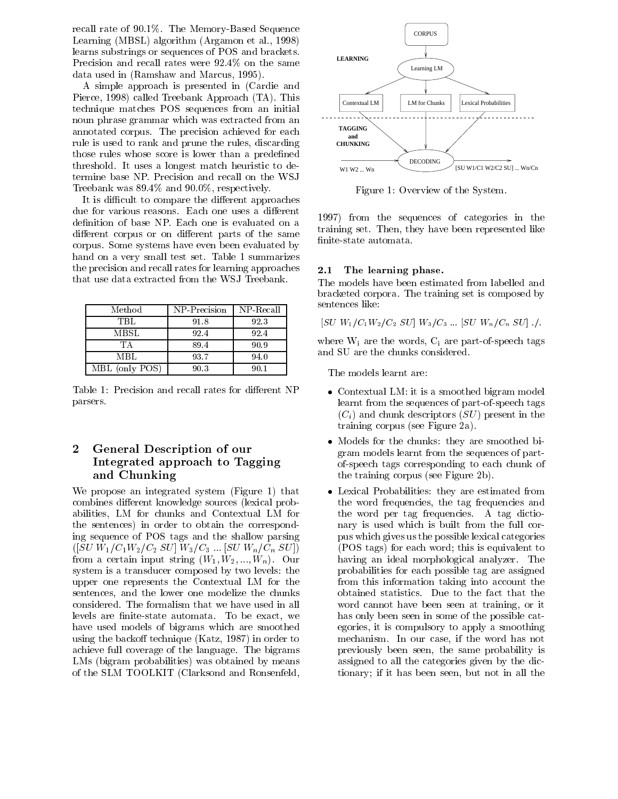recall rate of 90.1%. The Memory-Based Sequence Learning (MBSL) algorithm (Argamon et al., 1998) learns substrings or sequences of POS and brackets. Precision and recall rates were 92.4% on the same data used in (Ramshaw and Marcus, 1995).

A simple approach is presented in (Cardie and Pierce, 1998) called Treebank Approach (TA). This technique matches POS sequences from an initial noun phrase grammar which was extracted from an annotated corpus. The precision achieved for each rule is used to rank and prune the rules, discarding those rules whose score is lower than a predefined threshold. It uses a longest match heuristic to determine base NP. Precision and recall on the WSJ Treebank was 89.4% and 90.0%, respectively.

It is difficult to compare the different approaches due for various reasons. Each one uses a different definition of base NP. Each one is evaluated on a different corpus or on different parts of the same corpus. Some systems have even been evaluated by hand on a very small test set. Table 1 summarizes the precision and recall rates for learning approaches  $2.1$ that use data extracted from the WSJ Treebank.

| Method         | NP Precision | NP Recall |
|----------------|--------------|-----------|
| TBL.           | 91.8         | 92.3      |
| MBSL           | 92.4         | 92.4      |
| TА             | 89.4         | 90.9      |
| MBL            | 93.7         | 94.0      |
| MBL (only POS) | 90.3         | 90.1      |

Table 1: Precision and recall rates for different NP parsers.

#### General Description of our  $\mathbf{2}$ Integrated approach to Tagging and Chunking

We propose an integrated system (Figure 1) that combines different knowledge sources (lexical probabilities, LM for chunks and Contextual LM for the sentences) in order to obtain the corresponding sequence of POS tags and the shallow parsing  $([SU W_1/C_1 W_2/C_2 SU] W_3/C_3 ... [SU W_n/C_n SU]$ from a certain input string  $(W_1, W_2, ..., W_n)$ . Our system is a transducer composed by two levels: the upper one represents the Contextual LM for the sentences, and the lower one modelize the chunks considered. The formalism that we have used in all levels are finite-state automata. To be exact, we have used models of bigrams which are smoothed using the backoff technique (Katz,  $1987$ ) in order to achieve full coverage of the language. The bigrams LMs (bigram probabilities) was obtained by means of the SLM TOOLKIT (Clarksond and Ronsenfeld,



Figure 1: Overview of the System.

1997) from the sequences of categories in the training set. Then, they have been represented like nite-state automata.

#### The learning phase.

The models have been estimated from labelled and bracketed corpora. The training set is composed by sentences like:

$$
[SU W_1/C_1 W_2/C_2 SU] W_3/C_3 ... [SU W_n/C_n SU] ./.
$$

where  $W_i$  are the words,  $C_i$  are part-of-speech tags and SU are the chunks considered.

The models learnt are:

- Contextual LM: it is a smoothed bigram model learnt from the sequences of part-of-speech tags  $(C_i)$  and chunk descriptors  $(SU)$  present in the training corpus (see Figure 2a).
- Models for the chunks: they are smoothed bigram models learnt from the sequences of partof-speech tags corresponding to each chunk of the training corpus (see Figure 2b).
- Lexical Probabilities: they are estimated from the word frequencies, the tag frequencies and the word per tag frequencies. A tag dictionary is used which is built from the full corpus which gives us the possible lexical categories (POS tags) for each word; this is equivalent to having an ideal morphological analyzer. The probabilities for each possible tag are assigned from this information taking into account the obtained statistics. Due to the fact that the word cannot have been seen at training, or it has only been seen in some of the possible categories, it is compulsory to apply a smoothing mechanism. In our case, if the word has not previously been seen, the same probability is assigned to all the categories given by the dictionary; if it has been seen, but not in all the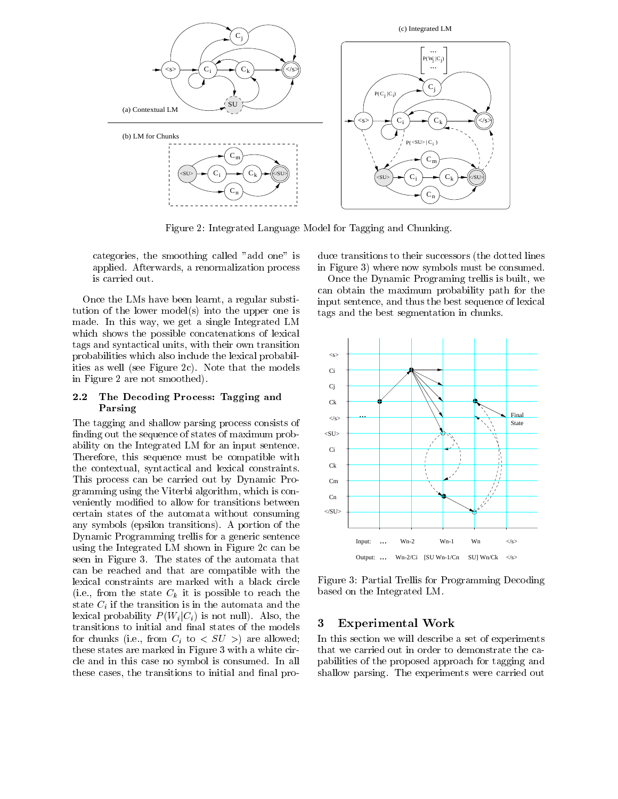

Figure 2: Integrated Language Model for Tagging and Chunking.

categories, the smoothing called "add one" is applied. Afterwards, a renormalization process is carried out.

Once the LMs have been learnt, a regular substitution of the lower model(s) into the upper one is made. In this way, we get a single Integrated LM which shows the possible concatenations of lexical tags and syntactical units, with their own transition probabilities which also include the lexical probabilities as well (see Figure 2c). Note that the models in Figure 2 are not smoothed).

#### $2.2$ The Decoding Process: Tagging and Parsing

The tagging and shallow parsing process consists of finding out the sequence of states of maximum probability on the Integrated LM for an input sentence. Therefore, this sequence must be compatible with the contextual, syntactical and lexical constraints. This process can be carried out by Dynamic Programming using the Viterbi algorithm, which is con veniently modied to allow for transitions between certain states of the automata without consuming any symbols (epsilon transitions). A portion of the Dynamic Programming trellis for a generic sentence using the Integrated LM shown in Figure 2c can be seen in Figure 3. The states of the automata that can be reached and that are compatible with the lexical constraints are marked with a black circle (i.e., from the state  $C_k$  it is possible to reach the state  $C_i$  if the transition is in the automata and the lexical probability  $P(W_i | C_i)$  is not null). Also, the transitions to initial and final states of the models for chunks (i.e., from  $C_i$  to  $\langle SU \rangle$ ) are allowed; these states are marked in Figure 3 with a white circle and in this case no symbol is consumed. In all these cases, the transitions to initial and final pro-

duce transitions to their successors (the dotted lines in Figure 3) where now symbols must be consumed.

Once the Dynamic Programing trellis is built, we can obtain the maximum probability path for the input sentence, and thus the best sequence of lexical tags and the best segmentation in chunks.



Figure 3: Partial Trellis for Programming Decoding based on the Integrated LM.

# Experimental Work

In this section we will describe a set of experiments that we carried out in order to demonstrate the capabilities of the proposed approach for tagging and shallow parsing. The experiments were carried out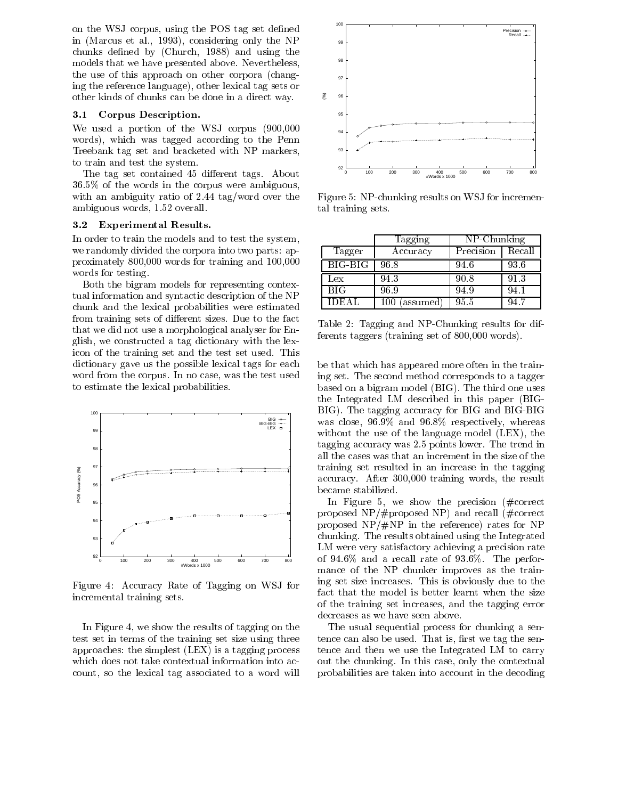on the WSJ corpus, using the POS tag set defined in (Marcus et al., 1993), considering only the NP chunks defined by (Church, 1988) and using the models that we have presented above. Nevertheless, the use of this approach on other corpora (changing the reference language), other lexical tag sets or other kinds of chunks can be done in a direct way.

### 3.1 Corpus Description.

We used a portion of the WSJ corpus (900,000 words), which was tagged according to the Penn Treebank tag set and bracketed with NP markers, to train and test the system.

The tag set contained 45 different tags. About 36.5% of the words in the corpus were ambiguous, with an ambiguity ratio of 2.44 tag/word over the ambiguous words, 1.52 overall.

#### 3.2 Experimental Results.

In order to train the models and to test the system, we randomly divided the corpora into two parts: approximately 800,000 words for training and 100,000 words for testing.

Both the bigram models for representing contextual information and syntactic description of the NP chunk and the lexical probabilities were estimated from training sets of different sizes. Due to the fact that we did not use a morphological analyser for English, we constructed a tag dictionary with the lexicon of the training set and the test set used. This dictionary gave us the possible lexical tags for each word from the corpus. In no case, was the test used to estimate the lexical probabilities.



Figure 4: Accuracy Rate of Tagging on WSJ for incremental training sets.

In Figure 4, we show the results of tagging on the test set in terms of the training set size using three approaches: the simplest (LEX) is a tagging process which does not take contextual information into account, so the lexical tag associated to a word will



Figure 5: NP-chunking results on WSJ for incremental training sets.

|              | Tagging  | NP-Chunking |         |
|--------------|----------|-------------|---------|
| Tagger       | Accuracy | Precision   | Recall  |
| BIG-BIG      | 96.8     | 94.6        | 93.6    |
| Lex          | 94 3     | 90.8        | 913     |
| <b>BIG</b>   | 96.9     | 94 9        | $-44.1$ |
| <b>IDEAL</b> | assumed  | 95.5        |         |

Table 2: Tagging and NP-Chunking results for differents taggers (training set of 800,000 words).

be that which has appeared more often in the training set. The second method corresponds to a tagger based on a bigram model (BIG). The third one uses the Integrated LM described in this paper (BIG-BIG). The tagging accuracy for BIG and BIG-BIG was close, 96.9% and 96.8% respectively, whereas without the use of the language model (LEX), the tagging accuracy was 2.5 points lower. The trend in all the cases was that an increment in the size of the training set resulted in an increase in the tagging accuracy. After 300,000 training words, the result became stabilized.

In Figure 5, we show the precision  $(\text{\#correct}$ proposed NP/#proposed NP) and recall (#correct proposed  $NP/\#NP$  in the reference) rates for NP chunking. The results obtained using the Integrated LM were very satisfactory achieving a precision rate of  $94.6\%$  and a recall rate of  $93.6\%$ . The performance of the NP chunker improves as the training set size increases. This is obviously due to the fact that the model is better learnt when the size of the training set increases, and the tagging error decreases as we have seen above.

The usual sequential process for chunking a sentence can also be used. That is, first we tag the sentence and then we use the Integrated LM to carry out the chunking. In this case, only the contextual probabilities are taken into account in the decoding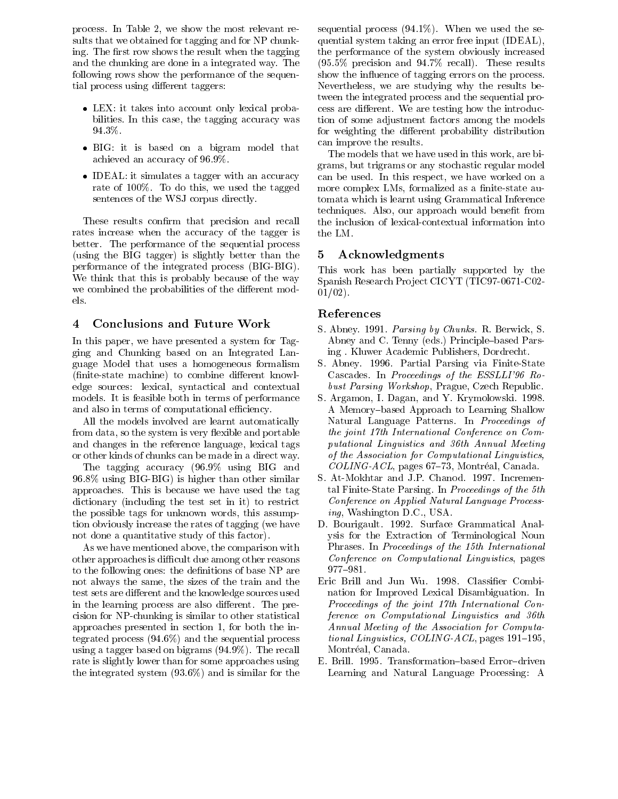process. In Table 2, we show the most relevant results that we obtained for tagging and for NP chunking. The first row shows the result when the tagging and the chunking are done in a integrated way. The following rows show the performance of the sequential process using different taggers:

- LEX: it takes into account only lexical probabilities. In this case, the tagging accuracy was 94.3%.
- BIG: it is based on a bigram model that achieved an accuracy of 96.9%.
- IDEAL: it simulates a tagger with an accuracy rate of 100%. To do this, we used the tagged sentences of the WSJ corpus directly.

These results confirm that precision and recall rates increase when the accuracy of the tagger is better. The performance of the sequential process (using the BIG tagger) is slightly better than the  $5$ performance of the integrated process (BIG-BIG). We think that this is probably because of the way we combined the probabilities of the different models.

# 4 Conclusions and Future Work

In this paper, we have presented a system for Tagging and Chunking based on an Integrated Language Model that uses a homogeneous formalism (finite-state machine) to combine different knowledge sources: lexical, syntactical and contextual models. It is feasible both in terms of performance and also in terms of computational efficiency.

All the models involved are learnt automatically from data, so the system is very flexible and portable and changes in the reference language, lexical tags or other kinds of chunks can be made in a direct way.

The tagging accuracy (96.9% using BIG and 96.8% using BIG-BIG) is higher than other similar approaches. This is because we have used the tag dictionary (including the test set in it) to restrict the possible tags for unknown words, this assumption obviously increase the rates of tagging (we have not done a quantitative study of this factor).

As we have mentioned above, the comparison with other approaches is difficult due among other reasons to the following ones: the definitions of base NP are not always the same, the sizes of the train and the test sets are different and the knowledge sources used in the learning process are also different. The precision for NP-chunking is similar to other statistical approaches presented in section 1, for both the integrated process (94.6%) and the sequential process using a tagger based on bigrams (94.9%). The recall rate is slightly lower than for some approaches using the integrated system (93.6%) and is similar for the sequential process  $(94.1\%)$ . When we used the sequential system taking an error free input (IDEAL), the performance of the system obviously increased (95.5% precision and 94.7% recall). These results show the influence of tagging errors on the process. Nevertheless, we are studying why the results between the integrated process and the sequential process are different. We are testing how the introduction of some adjustment factors among the models for weighting the different probability distribution can improve the results.

The models that we have used in this work, are bigrams, but trigrams or any stochastic regular model can be used. In this respect, we have worked on a more complex LMs, formalized as a finite-state automata which is learnt using Grammatical Inference techniques. Also, our approach would benefit from the inclusion of lexical-contextual information into the LM.

# Acknowledgments

This work has been partially supported by the Spanish Research Pro ject CICYT (TIC97-0671-C02-  $01/02$ ).

#### References

- S. Abney. 1991. Parsing by Chunks. R. Berwick, S. Abney and C. Tenny (eds.) Principle-based Parsing . Kluwer Academic Publishers, Dordrecht.
- S. Abney. 1996. Partial Parsing via Finite-State Cascades. In Proceedings of the ESSLLI'96 Robust Parsing Workshop, Prague, Czech Republic.
- S. Argamon, I. Dagan, and Y. Krymolowski. 1998. A Memory-based Approach to Learning Shallow Natural Language Patterns. In Proceedings of the joint 17th International Conference on Computational Linguistics and 36th Annual Meeting of the Association for Computational Linguistics,  $COLING-ACL$ , pages 67-73, Montréal, Canada.
- S. At-Mokhtar and J.P. Chanod. 1997. Incremental Finite-State Parsing. In Proceedings of the 5th Conference on Applied Natural Language Processing, Washington D.C., USA.
- D. Bourigault. 1992. Surface Grammatical Analysis for the Extraction of Terminological Noun Phrases. In Proceedings of the 15th International Conference on Computational Linguistics, pages 977-981.
- Eric Brill and Jun Wu. 1998. Classier Combination for Improved Lexical Disambiguation. In Proceedings of the joint 17th International Conference on Computational Linguistics and 36th Annual Meeting of the Association for Computational Linguistics, COLING-ACL, pages  $191–195$ , Montréal, Canada.
- E. Brill. 1995. Transformation-based Error-driven Learning and Natural Language Processing: A